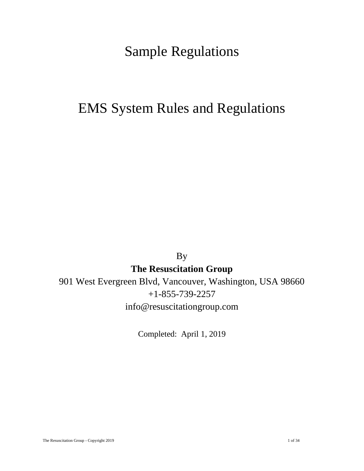## Sample Regulations

# EMS System Rules and Regulations

By

**The Resuscitation Group**

901 West Evergreen Blvd, Vancouver, Washington, USA 98660 +1-855-739-2257 info@resuscitationgroup.com

Completed: April 1, 2019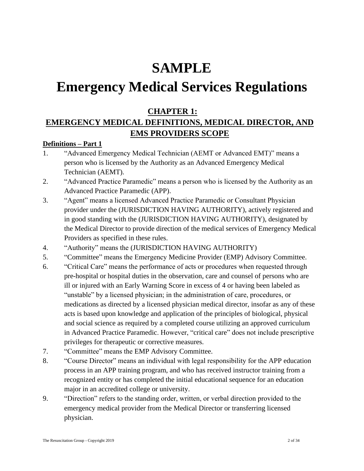# **SAMPLE**

# **Emergency Medical Services Regulations**

## **CHAPTER 1:**

## **EMERGENCY MEDICAL DEFINITIONS, MEDICAL DIRECTOR, AND EMS PROVIDERS SCOPE**

## **Definitions – Part 1**

- 1. "Advanced Emergency Medical Technician (AEMT or Advanced EMT)" means a person who is licensed by the Authority as an Advanced Emergency Medical Technician (AEMT).
- 2. "Advanced Practice Paramedic" means a person who is licensed by the Authority as an Advanced Practice Paramedic (APP).
- 3. "Agent" means a licensed Advanced Practice Paramedic or Consultant Physician provider under the (JURISDICTION HAVING AUTHORITY), actively registered and in good standing with the (JURISDICTION HAVING AUTHORITY), designated by the Medical Director to provide direction of the medical services of Emergency Medical Providers as specified in these rules.
- 4. "Authority" means the (JURISDICTION HAVING AUTHORITY)
- 5. "Committee" means the Emergency Medicine Provider (EMP) Advisory Committee.
- 6. "Critical Care" means the performance of acts or procedures when requested through pre-hospital or hospital duties in the observation, care and counsel of persons who are ill or injured with an Early Warning Score in excess of 4 or having been labeled as "unstable" by a licensed physician; in the administration of care, procedures, or medications as directed by a licensed physician medical director, insofar as any of these acts is based upon knowledge and application of the principles of biological, physical and social science as required by a completed course utilizing an approved curriculum in Advanced Practice Paramedic. However, "critical care" does not include prescriptive privileges for therapeutic or corrective measures.
- 7. "Committee" means the EMP Advisory Committee.
- 8. "Course Director" means an individual with legal responsibility for the APP education process in an APP training program, and who has received instructor training from a recognized entity or has completed the initial educational sequence for an education major in an accredited college or university.
- 9. "Direction" refers to the standing order, written, or verbal direction provided to the emergency medical provider from the Medical Director or transferring licensed physician.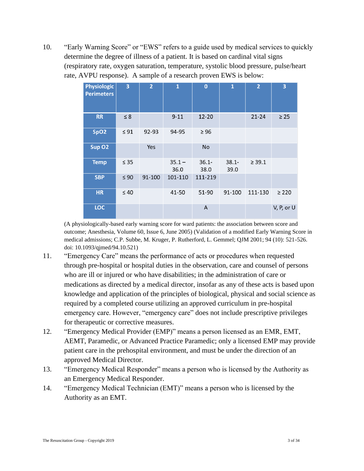10. "Early Warning Score" or "EWS" refers to a guide used by medical services to quickly determine the degree of illness of a patient. It is based on cardinal vital signs (respiratory rate, oxygen saturation, temperature, systolic blood pressure, pulse/heart rate, AVPU response). A sample of a research proven EWS is below:

| <b>Physiologic</b><br><b>Perimeters</b> | 3         | $\overline{2}$ | $\mathbf{1}$     | $\bf{0}$         | $\mathbf{1}$     | $\overline{2}$ | 3          |
|-----------------------------------------|-----------|----------------|------------------|------------------|------------------|----------------|------------|
| <b>RR</b>                               | $\leq 8$  |                | $9 - 11$         | 12-20            |                  | $21 - 24$      | $\geq 25$  |
| SpO <sub>2</sub>                        | $\leq 91$ | 92-93          | 94-95            | $\geq 96$        |                  |                |            |
| Sup O <sub>2</sub>                      |           | Yes            |                  | <b>No</b>        |                  |                |            |
| <b>Temp</b>                             | $\leq 35$ |                | $35.1 -$<br>36.0 | $36.1 -$<br>38.0 | $38.1 -$<br>39.0 | $\geq 39.1$    |            |
| <b>SBP</b>                              | $\leq 90$ | 91-100         | 101-110          | 111-219          |                  |                |            |
| <b>HR</b>                               | $\leq 40$ |                | 41-50            | 51-90            | 91-100           | 111-130        | $\geq 220$ |
| LOC                                     |           |                |                  | A                |                  |                | V, P, or U |

(A physiologically-based early warning score for ward patients: the association between score and outcome; Anesthesia, Volume 60, Issue 6, June 2005) (Validation of a modified Early Warning Score in medical admissions; C.P. Subbe, M. Kruger, P. Rutherford, L. Gemmel; QJM 2001; 94 (10): 521-526. doi: 10.1093/qjmed/94.10.521)

- 11. "Emergency Care" means the performance of acts or procedures when requested through pre-hospital or hospital duties in the observation, care and counsel of persons who are ill or injured or who have disabilities; in the administration of care or medications as directed by a medical director, insofar as any of these acts is based upon knowledge and application of the principles of biological, physical and social science as required by a completed course utilizing an approved curriculum in pre-hospital emergency care. However, "emergency care" does not include prescriptive privileges for therapeutic or corrective measures.
- 12. "Emergency Medical Provider (EMP)" means a person licensed as an EMR, EMT, AEMT, Paramedic, or Advanced Practice Paramedic; only a licensed EMP may provide patient care in the prehospital environment, and must be under the direction of an approved Medical Director.
- 13. "Emergency Medical Responder" means a person who is licensed by the Authority as an Emergency Medical Responder.
- 14. "Emergency Medical Technician (EMT)" means a person who is licensed by the Authority as an EMT.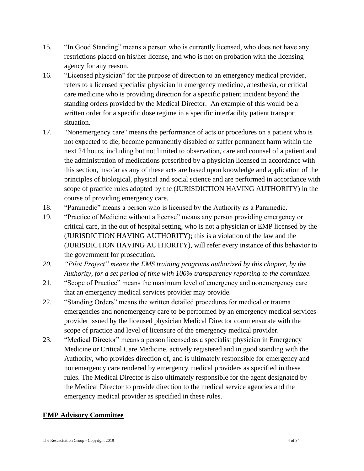- 15. "In Good Standing" means a person who is currently licensed, who does not have any restrictions placed on his/her license, and who is not on probation with the licensing agency for any reason.
- 16. "Licensed physician" for the purpose of direction to an emergency medical provider, refers to a licensed specialist physician in emergency medicine, anesthesia, or critical care medicine who is providing direction for a specific patient incident beyond the standing orders provided by the Medical Director. An example of this would be a written order for a specific dose regime in a specific interfacility patient transport situation.
- 17. "Nonemergency care" means the performance of acts or procedures on a patient who is not expected to die, become permanently disabled or suffer permanent harm within the next 24 hours, including but not limited to observation, care and counsel of a patient and the administration of medications prescribed by a physician licensed in accordance with this section, insofar as any of these acts are based upon knowledge and application of the principles of biological, physical and social science and are performed in accordance with scope of practice rules adopted by the (JURISDICTION HAVING AUTHORITY) in the course of providing emergency care.
- 18. "Paramedic" means a person who is licensed by the Authority as a Paramedic.
- 19. "Practice of Medicine without a license" means any person providing emergency or critical care, in the out of hospital setting, who is not a physician or EMP licensed by the (JURISDICTION HAVING AUTHORITY); this is a violation of the law and the (JURISDICTION HAVING AUTHORITY), will refer every instance of this behavior to the government for prosecution.
- *20. "Pilot Project" means the EMS training programs authorized by this chapter, by the Authority, for a set period of time with 100% transparency reporting to the committee.*
- 21. "Scope of Practice" means the maximum level of emergency and nonemergency care that an emergency medical services provider may provide.
- 22. "Standing Orders" means the written detailed procedures for medical or trauma emergencies and nonemergency care to be performed by an emergency medical services provider issued by the licensed physician Medical Director commensurate with the scope of practice and level of licensure of the emergency medical provider.
- 23. "Medical Director" means a person licensed as a specialist physician in Emergency Medicine or Critical Care Medicine, actively registered and in good standing with the Authority, who provides direction of, and is ultimately responsible for emergency and nonemergency care rendered by emergency medical providers as specified in these rules. The Medical Director is also ultimately responsible for the agent designated by the Medical Director to provide direction to the medical service agencies and the emergency medical provider as specified in these rules.

#### **EMP Advisory Committee**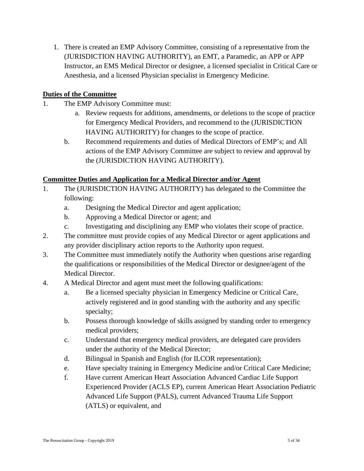1. There is created an EMP Advisory Committee, consisting of a representative from the (JURISDICTION HAVING AUTHORITY), an EMT, a Paramedic, an APP or APP Instructor, an EMS Medical Director or designee, a licensed specialist in Critical Care or Anesthesia, and a licensed Physician specialist in Emergency Medicine.

## **Duties of the Committee**

- 1. The EMP Advisory Committee must:
	- a. Review requests for additions, amendments, or deletions to the scope of practice for Emergency Medical Providers, and recommend to the (JURISDICTION HAVING AUTHORITY) for changes to the scope of practice.
	- b. Recommend requirements and duties of Medical Directors of EMP's; and All actions of the EMP Advisory Committee are subject to review and approval by the (JURISDICTION HAVING AUTHORITY).

## **Committee Duties and Application for a Medical Director and/or Agent**

- 1. The (JURISDICTION HAVING AUTHORITY) has delegated to the Committee the following:
	- a. Designing the Medical Director and agent application;
	- b. Approving a Medical Director or agent; and
	- c. Investigating and disciplining any EMP who violates their scope of practice.
- 2. The committee must provide copies of any Medical Director or agent applications and any provider disciplinary action reports to the Authority upon request.
- 3. The Committee must immediately notify the Authority when questions arise regarding the qualifications or responsibilities of the Medical Director or designee/agent of the Medical Director.
- 4. A Medical Director and agent must meet the following qualifications:
	- a. Be a licensed specialty physician in Emergency Medicine or Critical Care, actively registered and in good standing with the authority and any specific specialty;
	- b. Possess thorough knowledge of skills assigned by standing order to emergency medical providers;
	- c. Understand that emergency medical providers, are delegated care providers under the authority of the Medical Director;
	- d. Bilingual in Spanish and English (for ILCOR representation);
	- e. Have specialty training in Emergency Medicine and/or Critical Care Medicine;
	- f. Have current American Heart Association Advanced Cardiac Life Support Experienced Provider (ACLS EP), current American Heart Association Pediatric Advanced Life Support (PALS), current Advanced Trauma Life Support (ATLS) or equivalent, and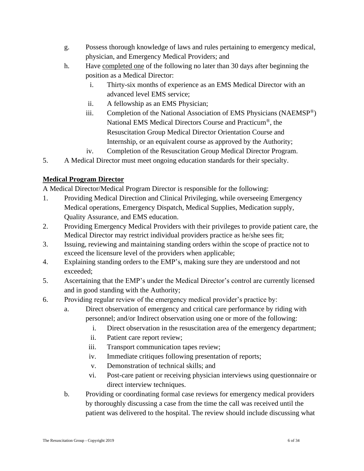- g. Possess thorough knowledge of laws and rules pertaining to emergency medical, physician, and Emergency Medical Providers; and
- h. Have completed one of the following no later than 30 days after beginning the position as a Medical Director:
	- i. Thirty-six months of experience as an EMS Medical Director with an advanced level EMS service;
	- ii. A fellowship as an EMS Physician;
	- iii. Completion of the National Association of EMS Physicians (NAEMSP®) National EMS Medical Directors Course and Practicum®, the Resuscitation Group Medical Director Orientation Course and Internship, or an equivalent course as approved by the Authority;
	- iv. Completion of the Resuscitation Group Medical Director Program.
- 5. A Medical Director must meet ongoing education standards for their specialty.

## **Medical Program Director**

A Medical Director/Medical Program Director is responsible for the following:

- 1. Providing Medical Direction and Clinical Privileging, while overseeing Emergency Medical operations, Emergency Dispatch, Medical Supplies, Medication supply, Quality Assurance, and EMS education.
- 2. Providing Emergency Medical Providers with their privileges to provide patient care, the Medical Director may restrict individual providers practice as he/she sees fit;
- 3. Issuing, reviewing and maintaining standing orders within the scope of practice not to exceed the licensure level of the providers when applicable;
- 4. Explaining standing orders to the EMP's, making sure they are understood and not exceeded;
- 5. Ascertaining that the EMP's under the Medical Director's control are currently licensed and in good standing with the Authority;
- 6. Providing regular review of the emergency medical provider's practice by:
	- a. Direct observation of emergency and critical care performance by riding with personnel; and/or Indirect observation using one or more of the following:
		- i. Direct observation in the resuscitation area of the emergency department;
		- ii. Patient care report review;
		- iii. Transport communication tapes review;
		- iv. Immediate critiques following presentation of reports;
		- v. Demonstration of technical skills; and
		- vi. Post-care patient or receiving physician interviews using questionnaire or direct interview techniques.
	- b. Providing or coordinating formal case reviews for emergency medical providers by thoroughly discussing a case from the time the call was received until the patient was delivered to the hospital. The review should include discussing what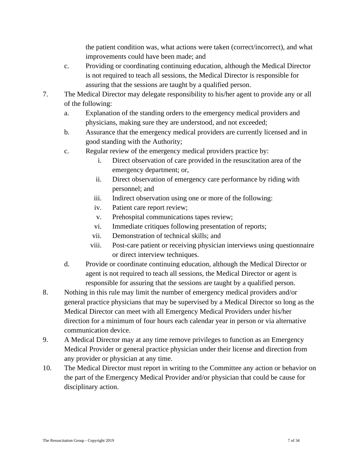the patient condition was, what actions were taken (correct/incorrect), and what improvements could have been made; and

- c. Providing or coordinating continuing education, although the Medical Director is not required to teach all sessions, the Medical Director is responsible for assuring that the sessions are taught by a qualified person.
- 7. The Medical Director may delegate responsibility to his/her agent to provide any or all of the following:
	- a. Explanation of the standing orders to the emergency medical providers and physicians, making sure they are understood, and not exceeded;
	- b. Assurance that the emergency medical providers are currently licensed and in good standing with the Authority;
	- c. Regular review of the emergency medical providers practice by:
		- i. Direct observation of care provided in the resuscitation area of the emergency department; or,
		- ii. Direct observation of emergency care performance by riding with personnel; and
		- iii. Indirect observation using one or more of the following:
		- iv. Patient care report review;
		- v. Prehospital communications tapes review;
		- vi. Immediate critiques following presentation of reports;
		- vii. Demonstration of technical skills; and
		- viii. Post-care patient or receiving physician interviews using questionnaire or direct interview techniques.
	- d. Provide or coordinate continuing education, although the Medical Director or agent is not required to teach all sessions, the Medical Director or agent is responsible for assuring that the sessions are taught by a qualified person.
- 8. Nothing in this rule may limit the number of emergency medical providers and/or general practice physicians that may be supervised by a Medical Director so long as the Medical Director can meet with all Emergency Medical Providers under his/her direction for a minimum of four hours each calendar year in person or via alternative communication device.
- 9. A Medical Director may at any time remove privileges to function as an Emergency Medical Provider or general practice physician under their license and direction from any provider or physician at any time.
- 10. The Medical Director must report in writing to the Committee any action or behavior on the part of the Emergency Medical Provider and/or physician that could be cause for disciplinary action.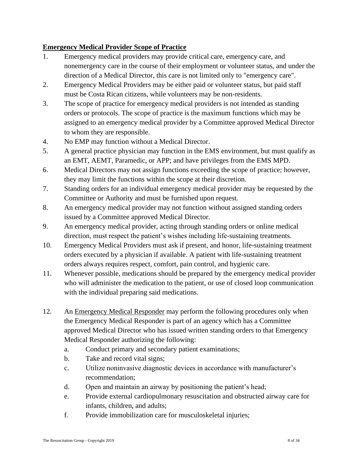## **Emergency Medical Provider Scope of Practice**

- 1. Emergency medical providers may provide critical care, emergency care, and nonemergency care in the course of their employment or volunteer status, and under the direction of a Medical Director, this care is not limited only to "emergency care".
- 2. Emergency Medical Providers may be either paid or volunteer status, but paid staff must be Costa Rican citizens, while volunteers may be non-residents.
- 3. The scope of practice for emergency medical providers is not intended as standing orders or protocols. The scope of practice is the maximum functions which may be assigned to an emergency medical provider by a Committee approved Medical Director to whom they are responsible.
- 4. No EMP may function without a Medical Director.
- 5. A general practice physician may function in the EMS environment, but must qualify as an EMT, AEMT, Paramedic, or APP; and have privileges from the EMS MPD.
- 6. Medical Directors may not assign functions exceeding the scope of practice; however, they may limit the functions within the scope at their discretion.
- 7. Standing orders for an individual emergency medical provider may be requested by the Committee or Authority and must be furnished upon request.
- 8. An emergency medical provider may not function without assigned standing orders issued by a Committee approved Medical Director.
- 9. An emergency medical provider, acting through standing orders or online medical direction, must respect the patient's wishes including life-sustaining treatments.
- 10. Emergency Medical Providers must ask if present, and honor, life-sustaining treatment orders executed by a physician if available. A patient with life-sustaining treatment orders always requires respect, comfort, pain control, and hygienic care.
- 11. Whenever possible, medications should be prepared by the emergency medical provider who will administer the medication to the patient, or use of closed loop communication with the individual preparing said medications.
- 12. An Emergency Medical Responder may perform the following procedures only when the Emergency Medical Responder is part of an agency which has a Committee approved Medical Director who has issued written standing orders to that Emergency Medical Responder authorizing the following:
	- a. Conduct primary and secondary patient examinations;
	- b. Take and record vital signs;
	- c. Utilize noninvasive diagnostic devices in accordance with manufacturer's recommendation;
	- d. Open and maintain an airway by positioning the patient's head;
	- e. Provide external cardiopulmonary resuscitation and obstructed airway care for infants, children, and adults;
	- f. Provide immobilization care for musculoskeletal injuries;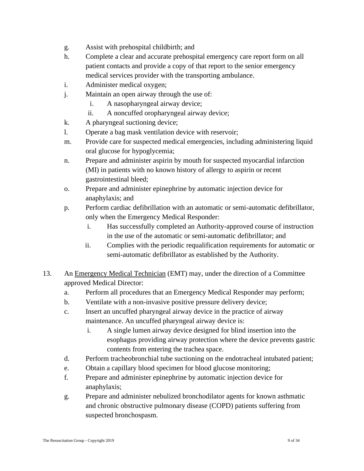- g. Assist with prehospital childbirth; and
- h. Complete a clear and accurate prehospital emergency care report form on all patient contacts and provide a copy of that report to the senior emergency medical services provider with the transporting ambulance.
- i. Administer medical oxygen;
- j. Maintain an open airway through the use of:
	- i. A nasopharyngeal airway device;
	- ii. A noncuffed oropharyngeal airway device;
- k. A pharyngeal suctioning device;
- l. Operate a bag mask ventilation device with reservoir;
- m. Provide care for suspected medical emergencies, including administering liquid oral glucose for hypoglycemia;
- n. Prepare and administer aspirin by mouth for suspected myocardial infarction (MI) in patients with no known history of allergy to aspirin or recent gastrointestinal bleed;
- o. Prepare and administer epinephrine by automatic injection device for anaphylaxis; and
- p. Perform cardiac defibrillation with an automatic or semi-automatic defibrillator, only when the Emergency Medical Responder:
	- i. Has successfully completed an Authority-approved course of instruction in the use of the automatic or semi-automatic defibrillator; and
	- ii. Complies with the periodic requalification requirements for automatic or semi-automatic defibrillator as established by the Authority.
- 13. An Emergency Medical Technician (EMT) may, under the direction of a Committee approved Medical Director:
	- a. Perform all procedures that an Emergency Medical Responder may perform;
	- b. Ventilate with a non-invasive positive pressure delivery device;
	- c. Insert an uncuffed pharyngeal airway device in the practice of airway maintenance. An uncuffed pharyngeal airway device is:
		- i. A single lumen airway device designed for blind insertion into the esophagus providing airway protection where the device prevents gastric contents from entering the trachea space.
	- d. Perform tracheobronchial tube suctioning on the endotracheal intubated patient;
	- e. Obtain a capillary blood specimen for blood glucose monitoring;
	- f. Prepare and administer epinephrine by automatic injection device for anaphylaxis;
	- g. Prepare and administer nebulized bronchodilator agents for known asthmatic and chronic obstructive pulmonary disease (COPD) patients suffering from suspected bronchospasm.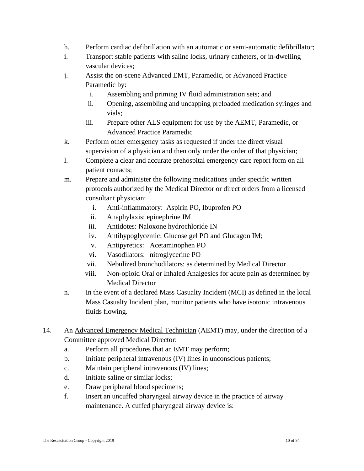- h. Perform cardiac defibrillation with an automatic or semi-automatic defibrillator;
- i. Transport stable patients with saline locks, urinary catheters, or in-dwelling vascular devices;
- j. Assist the on-scene Advanced EMT, Paramedic, or Advanced Practice Paramedic by:
	- i. Assembling and priming IV fluid administration sets; and
	- ii. Opening, assembling and uncapping preloaded medication syringes and vials;
	- iii. Prepare other ALS equipment for use by the AEMT, Paramedic, or Advanced Practice Paramedic
- k. Perform other emergency tasks as requested if under the direct visual supervision of a physician and then only under the order of that physician;
- l. Complete a clear and accurate prehospital emergency care report form on all patient contacts;
- m. Prepare and administer the following medications under specific written protocols authorized by the Medical Director or direct orders from a licensed consultant physician:
	- i. Anti-inflammatory: Aspirin PO, Ibuprofen PO
	- ii. Anaphylaxis: epinephrine IM
	- iii. Antidotes: Naloxone hydrochloride IN
	- iv. Antihypoglycemic: Glucose gel PO and Glucagon IM;
	- v. Antipyretics: Acetaminophen PO
	- vi. Vasodilators: nitroglycerine PO
	- vii. Nebulized bronchodilators: as determined by Medical Director
	- viii. Non-opioid Oral or Inhaled Analgesics for acute pain as determined by Medical Director
- n. In the event of a declared Mass Casualty Incident (MCI) as defined in the local Mass Casualty Incident plan, monitor patients who have isotonic intravenous fluids flowing.
- 14. An Advanced Emergency Medical Technician (AEMT) may, under the direction of a Committee approved Medical Director:
	- a. Perform all procedures that an EMT may perform;
	- b. Initiate peripheral intravenous (IV) lines in unconscious patients;
	- c. Maintain peripheral intravenous (IV) lines;
	- d. Initiate saline or similar locks;
	- e. Draw peripheral blood specimens;
	- f. Insert an uncuffed pharyngeal airway device in the practice of airway maintenance. A cuffed pharyngeal airway device is: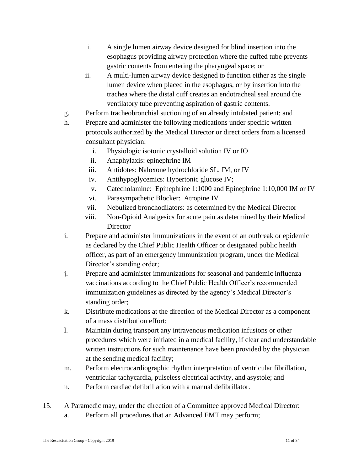- i. A single lumen airway device designed for blind insertion into the esophagus providing airway protection where the cuffed tube prevents gastric contents from entering the pharyngeal space; or
- ii. A multi-lumen airway device designed to function either as the single lumen device when placed in the esophagus, or by insertion into the trachea where the distal cuff creates an endotracheal seal around the ventilatory tube preventing aspiration of gastric contents.
- g. Perform tracheobronchial suctioning of an already intubated patient; and
- h. Prepare and administer the following medications under specific written protocols authorized by the Medical Director or direct orders from a licensed consultant physician:
	- i. Physiologic isotonic crystalloid solution IV or IO
	- ii. Anaphylaxis: epinephrine IM
	- iii. Antidotes: Naloxone hydrochloride SL, IM, or IV
	- iv. Antihypoglycemics: Hypertonic glucose IV;
	- v. Catecholamine: Epinephrine 1:1000 and Epinephrine 1:10,000 IM or IV
	- vi. Parasympathetic Blocker: Atropine IV
	- vii. Nebulized bronchodilators: as determined by the Medical Director
	- viii. Non-Opioid Analgesics for acute pain as determined by their Medical **Director**
- i. Prepare and administer immunizations in the event of an outbreak or epidemic as declared by the Chief Public Health Officer or designated public health officer, as part of an emergency immunization program, under the Medical Director's standing order;
- j. Prepare and administer immunizations for seasonal and pandemic influenza vaccinations according to the Chief Public Health Officer's recommended immunization guidelines as directed by the agency's Medical Director's standing order;
- k. Distribute medications at the direction of the Medical Director as a component of a mass distribution effort;
- l. Maintain during transport any intravenous medication infusions or other procedures which were initiated in a medical facility, if clear and understandable written instructions for such maintenance have been provided by the physician at the sending medical facility;
- m. Perform electrocardiographic rhythm interpretation of ventricular fibrillation, ventricular tachycardia, pulseless electrical activity, and asystole; and
- n. Perform cardiac defibrillation with a manual defibrillator.
- 15. A Paramedic may, under the direction of a Committee approved Medical Director:
	- a. Perform all procedures that an Advanced EMT may perform;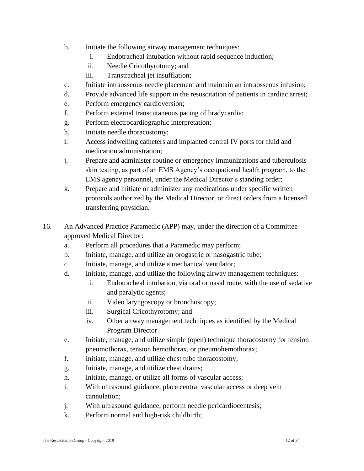- b. Initiate the following airway management techniques:
	- i. Endotracheal intubation without rapid sequence induction;
	- ii. Needle Cricothyrotomy; and
	- iii. Transtracheal jet insufflation;
- c. Initiate intraosseous needle placement and maintain an intraosseous infusion;
- d. Provide advanced life support in the resuscitation of patients in cardiac arrest;
- e. Perform emergency cardioversion;
- f. Perform external transcutaneous pacing of bradycardia;
- g. Perform electrocardiographic interpretation;
- h. Initiate needle thoracostomy;
- i. Access indwelling catheters and implanted central IV ports for fluid and medication administration;
- j. Prepare and administer routine or emergency immunizations and tuberculosis skin testing, as part of an EMS Agency's occupational health program, to the EMS agency personnel, under the Medical Director's standing order;
- k. Prepare and initiate or administer any medications under specific written protocols authorized by the Medical Director, or direct orders from a licensed transferring physician.
- 16. An Advanced Practice Paramedic (APP) may, under the direction of a Committee approved Medical Director:
	- a. Perform all procedures that a Paramedic may perform;
	- b. Initiate, manage, and utilize an orogastric or nasogastric tube;
	- c. Initiate, manage, and utilize a mechanical ventilator;
	- d. Initiate, manage, and utilize the following airway management techniques:
		- i. Endotracheal intubation, via oral or nasal route, with the use of sedative and paralytic agents;
		- ii. Video laryngoscopy or bronchoscopy;
		- iii. Surgical Cricothyrotomy; and
		- iv. Other airway management techniques as identified by the Medical Program Director
	- e. Initiate, manage, and utilize simple (open) technique thoracostomy for tension pneumothorax, tension hemothorax, or pneumohemothorax;
	- f. Initiate, manage, and utilize chest tube thoracostomy;
	- g. Initiate, manage, and utilize chest drains;
	- h. Initiate, manage, or utilize all forms of vascular access;
	- i. With ultrasound guidance, place central vascular access or deep vein cannulation;
	- j. With ultrasound guidance, perform needle pericardiocentesis;
	- k. Perform normal and high-risk childbirth;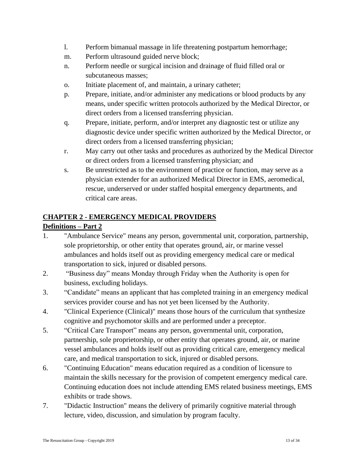- l. Perform bimanual massage in life threatening postpartum hemorrhage;
- m. Perform ultrasound guided nerve block;
- n. Perform needle or surgical incision and drainage of fluid filled oral or subcutaneous masses;
- o. Initiate placement of, and maintain, a urinary catheter;
- p. Prepare, initiate, and/or administer any medications or blood products by any means, under specific written protocols authorized by the Medical Director, or direct orders from a licensed transferring physician.
- q. Prepare, initiate, perform, and/or interpret any diagnostic test or utilize any diagnostic device under specific written authorized by the Medical Director, or direct orders from a licensed transferring physician;
- r. May carry out other tasks and procedures as authorized by the Medical Director or direct orders from a licensed transferring physician; and
- s. Be unrestricted as to the environment of practice or function, may serve as a physician extender for an authorized Medical Director in EMS, aeromedical, rescue, underserved or under staffed hospital emergency departments, and critical care areas.

## **CHAPTER 2 - EMERGENCY MEDICAL PROVIDERS**

## **Definitions – Part 2**

- 1. "Ambulance Service" means any person, governmental unit, corporation, partnership, sole proprietorship, or other entity that operates ground, air, or marine vessel ambulances and holds itself out as providing emergency medical care or medical transportation to sick, injured or disabled persons.
- 2. "Business day" means Monday through Friday when the Authority is open for business, excluding holidays.
- 3. "Candidate" means an applicant that has completed training in an emergency medical services provider course and has not yet been licensed by the Authority.
- 4. "Clinical Experience (Clinical)" means those hours of the curriculum that synthesize cognitive and psychomotor skills and are performed under a preceptor.
- 5. "Critical Care Transport" means any person, governmental unit, corporation, partnership, sole proprietorship, or other entity that operates ground, air, or marine vessel ambulances and holds itself out as providing critical care, emergency medical care, and medical transportation to sick, injured or disabled persons.
- 6. "Continuing Education" means education required as a condition of licensure to maintain the skills necessary for the provision of competent emergency medical care. Continuing education does not include attending EMS related business meetings, EMS exhibits or trade shows.
- 7. "Didactic Instruction" means the delivery of primarily cognitive material through lecture, video, discussion, and simulation by program faculty.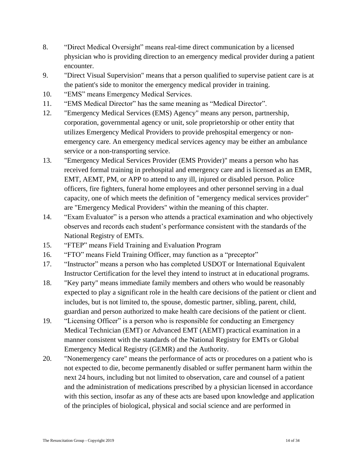- 8. "Direct Medical Oversight" means real-time direct communication by a licensed physician who is providing direction to an emergency medical provider during a patient encounter.
- 9. "Direct Visual Supervision" means that a person qualified to supervise patient care is at the patient's side to monitor the emergency medical provider in training.
- 10. "EMS" means Emergency Medical Services.
- 11. "EMS Medical Director" has the same meaning as "Medical Director".
- 12. "Emergency Medical Services (EMS) Agency" means any person, partnership, corporation, governmental agency or unit, sole proprietorship or other entity that utilizes Emergency Medical Providers to provide prehospital emergency or nonemergency care. An emergency medical services agency may be either an ambulance service or a non-transporting service.
- 13. "Emergency Medical Services Provider (EMS Provider)" means a person who has received formal training in prehospital and emergency care and is licensed as an EMR, EMT, AEMT, PM, or APP to attend to any ill, injured or disabled person. Police officers, fire fighters, funeral home employees and other personnel serving in a dual capacity, one of which meets the definition of "emergency medical services provider" are "Emergency Medical Providers" within the meaning of this chapter.
- 14. "Exam Evaluator" is a person who attends a practical examination and who objectively observes and records each student's performance consistent with the standards of the National Registry of EMTs.
- 15. "FTEP" means Field Training and Evaluation Program
- 16. "FTO" means Field Training Officer, may function as a "preceptor"
- 17. "Instructor" means a person who has completed USDOT or International Equivalent Instructor Certification for the level they intend to instruct at in educational programs.
- 18. "Key party" means immediate family members and others who would be reasonably expected to play a significant role in the health care decisions of the patient or client and includes, but is not limited to, the spouse, domestic partner, sibling, parent, child, guardian and person authorized to make health care decisions of the patient or client.
- 19. "Licensing Officer" is a person who is responsible for conducting an Emergency Medical Technician (EMT) or Advanced EMT (AEMT) practical examination in a manner consistent with the standards of the National Registry for EMTs or Global Emergency Medical Registry (GEMR) and the Authority.
- 20. "Nonemergency care" means the performance of acts or procedures on a patient who is not expected to die, become permanently disabled or suffer permanent harm within the next 24 hours, including but not limited to observation, care and counsel of a patient and the administration of medications prescribed by a physician licensed in accordance with this section, insofar as any of these acts are based upon knowledge and application of the principles of biological, physical and social science and are performed in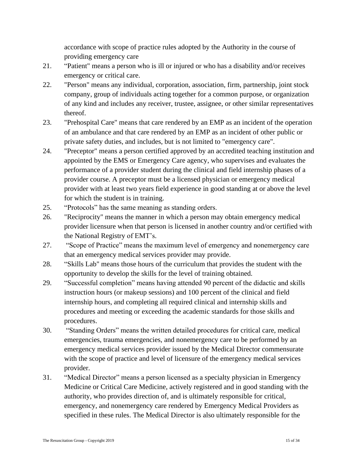accordance with scope of practice rules adopted by the Authority in the course of providing emergency care

- 21. "Patient" means a person who is ill or injured or who has a disability and/or receives emergency or critical care.
- 22. "Person" means any individual, corporation, association, firm, partnership, joint stock company, group of individuals acting together for a common purpose, or organization of any kind and includes any receiver, trustee, assignee, or other similar representatives thereof.
- 23. "Prehospital Care" means that care rendered by an EMP as an incident of the operation of an ambulance and that care rendered by an EMP as an incident of other public or private safety duties, and includes, but is not limited to "emergency care".
- 24. "Preceptor" means a person certified approved by an accredited teaching institution and appointed by the EMS or Emergency Care agency, who supervises and evaluates the performance of a provider student during the clinical and field internship phases of a provider course. A preceptor must be a licensed physician or emergency medical provider with at least two years field experience in good standing at or above the level for which the student is in training.
- 25. "Protocols" has the same meaning as standing orders.
- 26. "Reciprocity" means the manner in which a person may obtain emergency medical provider licensure when that person is licensed in another country and/or certified with the National Registry of EMT's.
- 27. "Scope of Practice" means the maximum level of emergency and nonemergency care that an emergency medical services provider may provide.
- 28. "Skills Lab" means those hours of the curriculum that provides the student with the opportunity to develop the skills for the level of training obtained.
- 29. "Successful completion" means having attended 90 percent of the didactic and skills instruction hours (or makeup sessions) and 100 percent of the clinical and field internship hours, and completing all required clinical and internship skills and procedures and meeting or exceeding the academic standards for those skills and procedures.
- 30. "Standing Orders" means the written detailed procedures for critical care, medical emergencies, trauma emergencies, and nonemergency care to be performed by an emergency medical services provider issued by the Medical Director commensurate with the scope of practice and level of licensure of the emergency medical services provider.
- 31. "Medical Director" means a person licensed as a specialty physician in Emergency Medicine or Critical Care Medicine, actively registered and in good standing with the authority, who provides direction of, and is ultimately responsible for critical, emergency, and nonemergency care rendered by Emergency Medical Providers as specified in these rules. The Medical Director is also ultimately responsible for the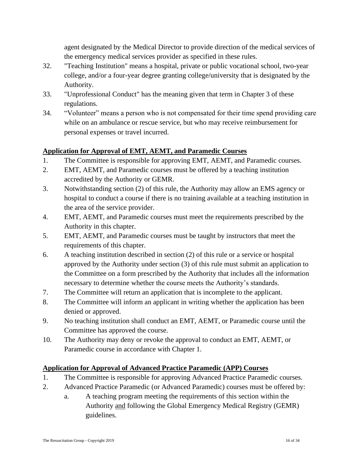agent designated by the Medical Director to provide direction of the medical services of the emergency medical services provider as specified in these rules.

- 32. "Teaching Institution" means a hospital, private or public vocational school, two-year college, and/or a four-year degree granting college/university that is designated by the Authority.
- 33. "Unprofessional Conduct" has the meaning given that term in Chapter 3 of these regulations.
- 34. "Volunteer" means a person who is not compensated for their time spend providing care while on an ambulance or rescue service, but who may receive reimbursement for personal expenses or travel incurred.

## **Application for Approval of EMT, AEMT, and Paramedic Courses**

- 1. The Committee is responsible for approving EMT, AEMT, and Paramedic courses.
- 2. EMT, AEMT, and Paramedic courses must be offered by a teaching institution accredited by the Authority or GEMR.
- 3. Notwithstanding section (2) of this rule, the Authority may allow an EMS agency or hospital to conduct a course if there is no training available at a teaching institution in the area of the service provider.
- 4. EMT, AEMT, and Paramedic courses must meet the requirements prescribed by the Authority in this chapter.
- 5. EMT, AEMT, and Paramedic courses must be taught by instructors that meet the requirements of this chapter.
- 6. A teaching institution described in section (2) of this rule or a service or hospital approved by the Authority under section (3) of this rule must submit an application to the Committee on a form prescribed by the Authority that includes all the information necessary to determine whether the course meets the Authority's standards.
- 7. The Committee will return an application that is incomplete to the applicant.
- 8. The Committee will inform an applicant in writing whether the application has been denied or approved.
- 9. No teaching institution shall conduct an EMT, AEMT, or Paramedic course until the Committee has approved the course.
- 10. The Authority may deny or revoke the approval to conduct an EMT, AEMT, or Paramedic course in accordance with Chapter 1.

## **Application for Approval of Advanced Practice Paramedic (APP) Courses**

- 1. The Committee is responsible for approving Advanced Practice Paramedic courses.
- 2. Advanced Practice Paramedic (or Advanced Paramedic) courses must be offered by:
	- a. A teaching program meeting the requirements of this section within the Authority and following the Global Emergency Medical Registry (GEMR) guidelines.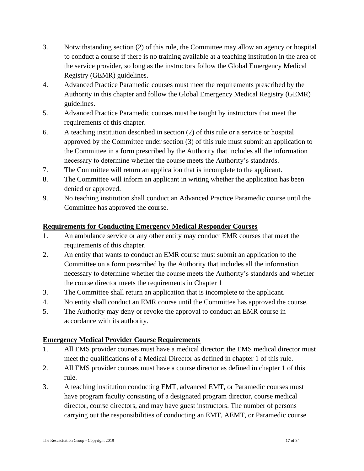- 3. Notwithstanding section (2) of this rule, the Committee may allow an agency or hospital to conduct a course if there is no training available at a teaching institution in the area of the service provider, so long as the instructors follow the Global Emergency Medical Registry (GEMR) guidelines.
- 4. Advanced Practice Paramedic courses must meet the requirements prescribed by the Authority in this chapter and follow the Global Emergency Medical Registry (GEMR) guidelines.
- 5. Advanced Practice Paramedic courses must be taught by instructors that meet the requirements of this chapter.
- 6. A teaching institution described in section (2) of this rule or a service or hospital approved by the Committee under section (3) of this rule must submit an application to the Committee in a form prescribed by the Authority that includes all the information necessary to determine whether the course meets the Authority's standards.
- 7. The Committee will return an application that is incomplete to the applicant.
- 8. The Committee will inform an applicant in writing whether the application has been denied or approved.
- 9. No teaching institution shall conduct an Advanced Practice Paramedic course until the Committee has approved the course.

## **Requirements for Conducting Emergency Medical Responder Courses**

- 1. An ambulance service or any other entity may conduct EMR courses that meet the requirements of this chapter.
- 2. An entity that wants to conduct an EMR course must submit an application to the Committee on a form prescribed by the Authority that includes all the information necessary to determine whether the course meets the Authority's standards and whether the course director meets the requirements in Chapter 1
- 3. The Committee shall return an application that is incomplete to the applicant.
- 4. No entity shall conduct an EMR course until the Committee has approved the course.
- 5. The Authority may deny or revoke the approval to conduct an EMR course in accordance with its authority.

## **Emergency Medical Provider Course Requirements**

- 1. All EMS provider courses must have a medical director; the EMS medical director must meet the qualifications of a Medical Director as defined in chapter 1 of this rule.
- 2. All EMS provider courses must have a course director as defined in chapter 1 of this rule.
- 3. A teaching institution conducting EMT, advanced EMT, or Paramedic courses must have program faculty consisting of a designated program director, course medical director, course directors, and may have guest instructors. The number of persons carrying out the responsibilities of conducting an EMT, AEMT, or Paramedic course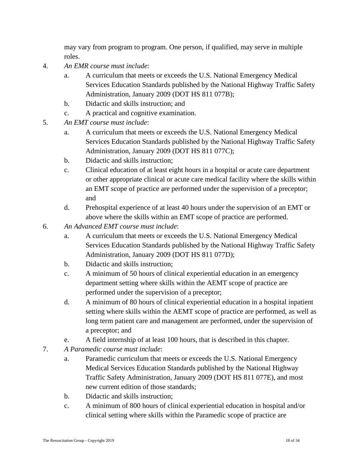may vary from program to program. One person, if qualified, may serve in multiple roles.

- 4. *An EMR course must include*:
	- a. A curriculum that meets or exceeds the U.S. National Emergency Medical Services Education Standards published by the National Highway Traffic Safety Administration, January 2009 (DOT HS 811 077B);
	- b. Didactic and skills instruction; and
	- c. A practical and cognitive examination.
- 5. *An EMT course must include*:
	- a. A curriculum that meets or exceeds the U.S. National Emergency Medical Services Education Standards published by the National Highway Traffic Safety Administration, January 2009 (DOT HS 811 077C);
	- b. Didactic and skills instruction;
	- c. Clinical education of at least eight hours in a hospital or acute care department or other appropriate clinical or acute care medical facility where the skills within an EMT scope of practice are performed under the supervision of a preceptor; and
	- d. Prehospital experience of at least 40 hours under the supervision of an EMT or above where the skills within an EMT scope of practice are performed.
- 6. *An Advanced EMT course must include*:
	- a. A curriculum that meets or exceeds the U.S. National Emergency Medical Services Education Standards published by the National Highway Traffic Safety Administration, January 2009 (DOT HS 811 077D);
	- b. Didactic and skills instruction;
	- c. A minimum of 50 hours of clinical experiential education in an emergency department setting where skills within the AEMT scope of practice are performed under the supervision of a preceptor;
	- d. A minimum of 80 hours of clinical experiential education in a hospital inpatient setting where skills within the AEMT scope of practice are performed, as well as long term patient care and management are performed, under the supervision of a preceptor; and
	- e. A field internship of at least 100 hours, that is described in this chapter.
- 7. *A Paramedic course must include*:
	- a. Paramedic curriculum that meets or exceeds the U.S. National Emergency Medical Services Education Standards published by the National Highway Traffic Safety Administration, January 2009 (DOT HS 811 077E), and most new current edition of those standards;
	- b. Didactic and skills instruction;
	- c. A minimum of 800 hours of clinical experiential education in hospital and/or clinical setting where skills within the Paramedic scope of practice are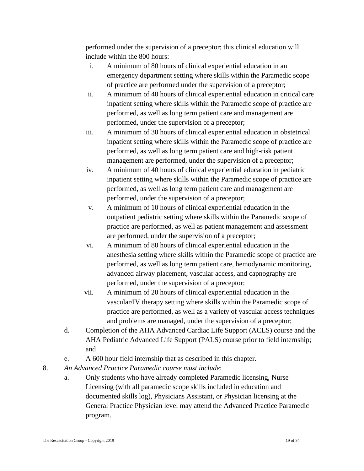performed under the supervision of a preceptor; this clinical education will include within the 800 hours:

- i. A minimum of 80 hours of clinical experiential education in an emergency department setting where skills within the Paramedic scope of practice are performed under the supervision of a preceptor;
- ii. A minimum of 40 hours of clinical experiential education in critical care inpatient setting where skills within the Paramedic scope of practice are performed, as well as long term patient care and management are performed, under the supervision of a preceptor;
- iii. A minimum of 30 hours of clinical experiential education in obstetrical inpatient setting where skills within the Paramedic scope of practice are performed, as well as long term patient care and high-risk patient management are performed, under the supervision of a preceptor;
- iv. A minimum of 40 hours of clinical experiential education in pediatric inpatient setting where skills within the Paramedic scope of practice are performed, as well as long term patient care and management are performed, under the supervision of a preceptor;
- v. A minimum of 10 hours of clinical experiential education in the outpatient pediatric setting where skills within the Paramedic scope of practice are performed, as well as patient management and assessment are performed, under the supervision of a preceptor;
- vi. A minimum of 80 hours of clinical experiential education in the anesthesia setting where skills within the Paramedic scope of practice are performed, as well as long term patient care, hemodynamic monitoring, advanced airway placement, vascular access, and capnography are performed, under the supervision of a preceptor;
- vii. A minimum of 20 hours of clinical experiential education in the vascular/IV therapy setting where skills within the Paramedic scope of practice are performed, as well as a variety of vascular access techniques and problems are managed, under the supervision of a preceptor;
- d. Completion of the AHA Advanced Cardiac Life Support (ACLS) course and the AHA Pediatric Advanced Life Support (PALS) course prior to field internship; and
- e. A 600 hour field internship that as described in this chapter.
- 8. *An Advanced Practice Paramedic course must include*:
	- a. Only students who have already completed Paramedic licensing, Nurse Licensing (with all paramedic scope skills included in education and documented skills log), Physicians Assistant, or Physician licensing at the General Practice Physician level may attend the Advanced Practice Paramedic program.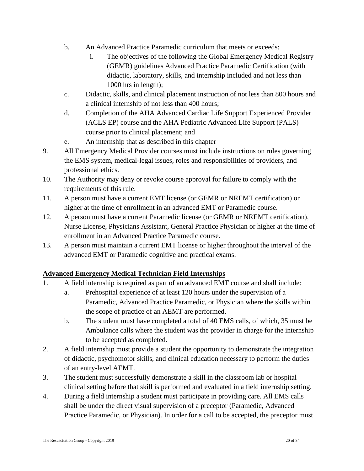- b. An Advanced Practice Paramedic curriculum that meets or exceeds:
	- i. The objectives of the following the Global Emergency Medical Registry (GEMR) guidelines Advanced Practice Paramedic Certification (with didactic, laboratory, skills, and internship included and not less than 1000 hrs in length);
- c. Didactic, skills, and clinical placement instruction of not less than 800 hours and a clinical internship of not less than 400 hours;
- d. Completion of the AHA Advanced Cardiac Life Support Experienced Provider (ACLS EP) course and the AHA Pediatric Advanced Life Support (PALS) course prior to clinical placement; and
- e. An internship that as described in this chapter
- 9. All Emergency Medical Provider courses must include instructions on rules governing the EMS system, medical-legal issues, roles and responsibilities of providers, and professional ethics.
- 10. The Authority may deny or revoke course approval for failure to comply with the requirements of this rule.
- 11. A person must have a current EMT license (or GEMR or NREMT certification) or higher at the time of enrollment in an advanced EMT or Paramedic course.
- 12. A person must have a current Paramedic license (or GEMR or NREMT certification), Nurse License, Physicians Assistant, General Practice Physician or higher at the time of enrollment in an Advanced Practice Paramedic course.
- 13. A person must maintain a current EMT license or higher throughout the interval of the advanced EMT or Paramedic cognitive and practical exams.

## **Advanced Emergency Medical Technician Field Internships**

- 1. A field internship is required as part of an advanced EMT course and shall include:
	- a. Prehospital experience of at least 120 hours under the supervision of a Paramedic, Advanced Practice Paramedic, or Physician where the skills within the scope of practice of an AEMT are performed.
	- b. The student must have completed a total of 40 EMS calls, of which, 35 must be Ambulance calls where the student was the provider in charge for the internship to be accepted as completed.
- 2. A field internship must provide a student the opportunity to demonstrate the integration of didactic, psychomotor skills, and clinical education necessary to perform the duties of an entry-level AEMT.
- 3. The student must successfully demonstrate a skill in the classroom lab or hospital clinical setting before that skill is performed and evaluated in a field internship setting.
- 4. During a field internship a student must participate in providing care. All EMS calls shall be under the direct visual supervision of a preceptor (Paramedic, Advanced Practice Paramedic, or Physician). In order for a call to be accepted, the preceptor must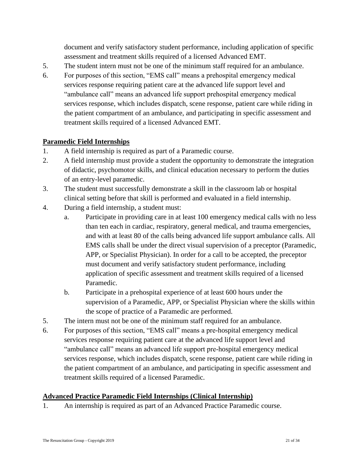document and verify satisfactory student performance, including application of specific assessment and treatment skills required of a licensed Advanced EMT.

- 5. The student intern must not be one of the minimum staff required for an ambulance.
- 6. For purposes of this section, "EMS call" means a prehospital emergency medical services response requiring patient care at the advanced life support level and "ambulance call" means an advanced life support prehospital emergency medical services response, which includes dispatch, scene response, patient care while riding in the patient compartment of an ambulance, and participating in specific assessment and treatment skills required of a licensed Advanced EMT.

## **Paramedic Field Internships**

- 1. A field internship is required as part of a Paramedic course.
- 2. A field internship must provide a student the opportunity to demonstrate the integration of didactic, psychomotor skills, and clinical education necessary to perform the duties of an entry-level paramedic.
- 3. The student must successfully demonstrate a skill in the classroom lab or hospital clinical setting before that skill is performed and evaluated in a field internship.
- 4. During a field internship, a student must:
	- a. Participate in providing care in at least 100 emergency medical calls with no less than ten each in cardiac, respiratory, general medical, and trauma emergencies, and with at least 80 of the calls being advanced life support ambulance calls. All EMS calls shall be under the direct visual supervision of a preceptor (Paramedic, APP, or Specialist Physician). In order for a call to be accepted, the preceptor must document and verify satisfactory student performance, including application of specific assessment and treatment skills required of a licensed Paramedic.
	- b. Participate in a prehospital experience of at least 600 hours under the supervision of a Paramedic, APP, or Specialist Physician where the skills within the scope of practice of a Paramedic are performed.
- 5. The intern must not be one of the minimum staff required for an ambulance.
- 6. For purposes of this section, "EMS call" means a pre-hospital emergency medical services response requiring patient care at the advanced life support level and "ambulance call" means an advanced life support pre-hospital emergency medical services response, which includes dispatch, scene response, patient care while riding in the patient compartment of an ambulance, and participating in specific assessment and treatment skills required of a licensed Paramedic.

## **Advanced Practice Paramedic Field Internships (Clinical Internship)**

1. An internship is required as part of an Advanced Practice Paramedic course.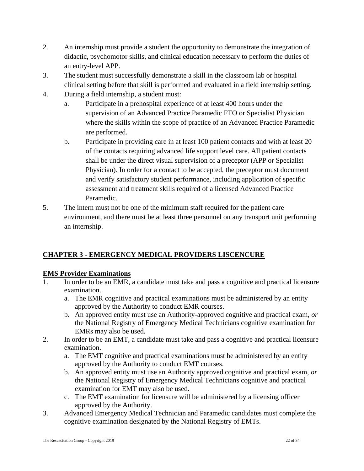- 2. An internship must provide a student the opportunity to demonstrate the integration of didactic, psychomotor skills, and clinical education necessary to perform the duties of an entry-level APP.
- 3. The student must successfully demonstrate a skill in the classroom lab or hospital clinical setting before that skill is performed and evaluated in a field internship setting.
- 4. During a field internship, a student must:
	- a. Participate in a prehospital experience of at least 400 hours under the supervision of an Advanced Practice Paramedic FTO or Specialist Physician where the skills within the scope of practice of an Advanced Practice Paramedic are performed.
	- b. Participate in providing care in at least 100 patient contacts and with at least 20 of the contacts requiring advanced life support level care. All patient contacts shall be under the direct visual supervision of a preceptor (APP or Specialist Physician). In order for a contact to be accepted, the preceptor must document and verify satisfactory student performance, including application of specific assessment and treatment skills required of a licensed Advanced Practice Paramedic.
- 5. The intern must not be one of the minimum staff required for the patient care environment, and there must be at least three personnel on any transport unit performing an internship.

## **CHAPTER 3 - EMERGENCY MEDICAL PROVIDERS LISCENCURE**

## **EMS Provider Examinations**

- In order to be an EMR, a candidate must take and pass a cognitive and practical licensure examination.
	- a. The EMR cognitive and practical examinations must be administered by an entity approved by the Authority to conduct EMR courses.
	- b. An approved entity must use an Authority-approved cognitive and practical exam, *or* the National Registry of Emergency Medical Technicians cognitive examination for EMRs may also be used.
- 2. In order to be an EMT, a candidate must take and pass a cognitive and practical licensure examination.
	- a. The EMT cognitive and practical examinations must be administered by an entity approved by the Authority to conduct EMT courses.
	- b. An approved entity must use an Authority approved cognitive and practical exam, *or*  the National Registry of Emergency Medical Technicians cognitive and practical examination for EMT may also be used.
	- c. The EMT examination for licensure will be administered by a licensing officer approved by the Authority.
- 3. Advanced Emergency Medical Technician and Paramedic candidates must complete the cognitive examination designated by the National Registry of EMTs.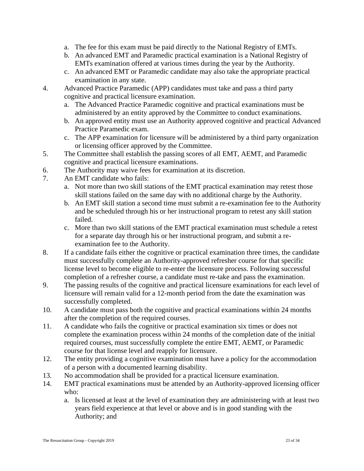- a. The fee for this exam must be paid directly to the National Registry of EMTs.
- b. An advanced EMT and Paramedic practical examination is a National Registry of EMTs examination offered at various times during the year by the Authority.
- c. An advanced EMT or Paramedic candidate may also take the appropriate practical examination in any state.
- 4. Advanced Practice Paramedic (APP) candidates must take and pass a third party cognitive and practical licensure examination.
	- a. The Advanced Practice Paramedic cognitive and practical examinations must be administered by an entity approved by the Committee to conduct examinations.
	- b. An approved entity must use an Authority approved cognitive and practical Advanced Practice Paramedic exam.
	- c. The APP examination for licensure will be administered by a third party organization or licensing officer approved by the Committee.
- 5. The Committee shall establish the passing scores of all EMT, AEMT, and Paramedic cognitive and practical licensure examinations.
- 6. The Authority may waive fees for examination at its discretion.
- 7. An EMT candidate who fails:
	- a. Not more than two skill stations of the EMT practical examination may retest those skill stations failed on the same day with no additional charge by the Authority.
	- b. An EMT skill station a second time must submit a re-examination fee to the Authority and be scheduled through his or her instructional program to retest any skill station failed.
	- c. More than two skill stations of the EMT practical examination must schedule a retest for a separate day through his or her instructional program, and submit a reexamination fee to the Authority.
- 8. If a candidate fails either the cognitive or practical examination three times, the candidate must successfully complete an Authority-approved refresher course for that specific license level to become eligible to re-enter the licensure process. Following successful completion of a refresher course, a candidate must re-take and pass the examination.
- 9. The passing results of the cognitive and practical licensure examinations for each level of licensure will remain valid for a 12-month period from the date the examination was successfully completed.
- 10. A candidate must pass both the cognitive and practical examinations within 24 months after the completion of the required courses.
- 11. A candidate who fails the cognitive or practical examination six times or does not complete the examination process within 24 months of the completion date of the initial required courses, must successfully complete the entire EMT, AEMT, or Paramedic course for that license level and reapply for licensure.
- 12. The entity providing a cognitive examination must have a policy for the accommodation of a person with a documented learning disability.
- 13. No accommodation shall be provided for a practical licensure examination.
- 14. EMT practical examinations must be attended by an Authority-approved licensing officer who:
	- a. Is licensed at least at the level of examination they are administering with at least two years field experience at that level or above and is in good standing with the Authority; and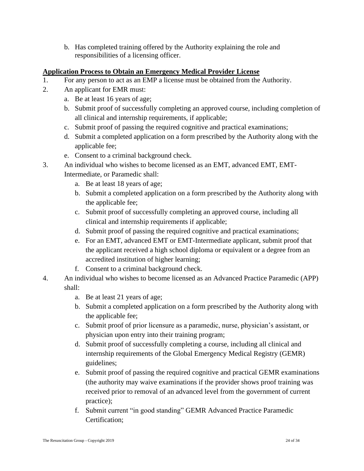b. Has completed training offered by the Authority explaining the role and responsibilities of a licensing officer.

## **Application Process to Obtain an Emergency Medical Provider License**

- 1. For any person to act as an EMP a license must be obtained from the Authority.
- 2. An applicant for EMR must:
	- a. Be at least 16 years of age;
	- b. Submit proof of successfully completing an approved course, including completion of all clinical and internship requirements, if applicable;
	- c. Submit proof of passing the required cognitive and practical examinations;
	- d. Submit a completed application on a form prescribed by the Authority along with the applicable fee;
	- e. Consent to a criminal background check.
- 3. An individual who wishes to become licensed as an EMT, advanced EMT, EMT-
	- Intermediate, or Paramedic shall:
		- a. Be at least 18 years of age;
		- b. Submit a completed application on a form prescribed by the Authority along with the applicable fee;
		- c. Submit proof of successfully completing an approved course, including all clinical and internship requirements if applicable;
		- d. Submit proof of passing the required cognitive and practical examinations;
		- e. For an EMT, advanced EMT or EMT-Intermediate applicant, submit proof that the applicant received a high school diploma or equivalent or a degree from an accredited institution of higher learning;
		- f. Consent to a criminal background check.
- 4. An individual who wishes to become licensed as an Advanced Practice Paramedic (APP) shall:
	- a. Be at least 21 years of age;
	- b. Submit a completed application on a form prescribed by the Authority along with the applicable fee;
	- c. Submit proof of prior licensure as a paramedic, nurse, physician's assistant, or physician upon entry into their training program;
	- d. Submit proof of successfully completing a course, including all clinical and internship requirements of the Global Emergency Medical Registry (GEMR) guidelines;
	- e. Submit proof of passing the required cognitive and practical GEMR examinations (the authority may waive examinations if the provider shows proof training was received prior to removal of an advanced level from the government of current practice);
	- f. Submit current "in good standing" GEMR Advanced Practice Paramedic Certification;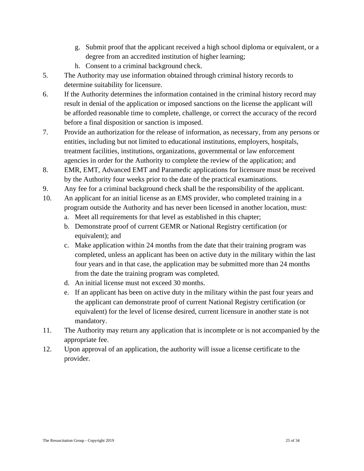- g. Submit proof that the applicant received a high school diploma or equivalent, or a degree from an accredited institution of higher learning;
- h. Consent to a criminal background check.
- 5. The Authority may use information obtained through criminal history records to determine suitability for licensure.
- 6. If the Authority determines the information contained in the criminal history record may result in denial of the application or imposed sanctions on the license the applicant will be afforded reasonable time to complete, challenge, or correct the accuracy of the record before a final disposition or sanction is imposed.
- 7. Provide an authorization for the release of information, as necessary, from any persons or entities, including but not limited to educational institutions, employers, hospitals, treatment facilities, institutions, organizations, governmental or law enforcement agencies in order for the Authority to complete the review of the application; and
- 8. EMR, EMT, Advanced EMT and Paramedic applications for licensure must be received by the Authority four weeks prior to the date of the practical examinations.
- 9. Any fee for a criminal background check shall be the responsibility of the applicant.
- 10. An applicant for an initial license as an EMS provider, who completed training in a program outside the Authority and has never been licensed in another location, must:
	- a. Meet all requirements for that level as established in this chapter;
	- b. Demonstrate proof of current GEMR or National Registry certification (or equivalent); and
	- c. Make application within 24 months from the date that their training program was completed, unless an applicant has been on active duty in the military within the last four years and in that case, the application may be submitted more than 24 months from the date the training program was completed.
	- d. An initial license must not exceed 30 months.
	- e. If an applicant has been on active duty in the military within the past four years and the applicant can demonstrate proof of current National Registry certification (or equivalent) for the level of license desired, current licensure in another state is not mandatory.
- 11. The Authority may return any application that is incomplete or is not accompanied by the appropriate fee.
- 12. Upon approval of an application, the authority will issue a license certificate to the provider.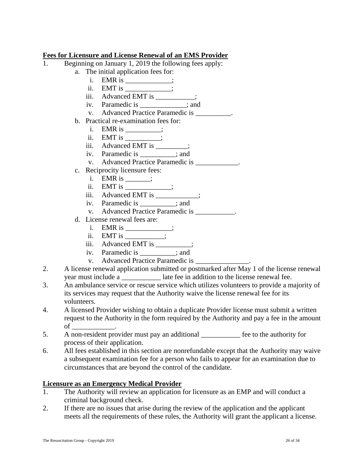## **Fees for Licensure and License Renewal of an EMS Provider**

- 1. Beginning on January 1, 2019 the following fees apply:
	- a. The initial application fees for:
		- $i.$  EMR  $i$ s  $\overline{\qquad}$ ;
		- ii. EMT is \_\_\_\_\_\_\_\_\_\_;
		- iii. Advanced EMT is \_\_\_\_\_\_\_\_;
		- iv. Paramedic is \_\_\_\_\_\_\_\_\_\_\_\_\_; and
		- v. Advanced Practice Paramedic is  $\cdot$ .
	- b. Practical re-examination fees for:
		- i. EMR is  $\_\_\_\_\_\_\$ ;
		- ii.  $EMT$  is  $\_\_\_\_\_\_\$ ;
		- iii. Advanced EMT is \_\_\_\_\_\_\_;
		- iv. Paramedic is \_\_\_\_\_\_\_\_\_\_; and
		- v. Advanced Practice Paramedic is \_\_\_\_\_\_\_\_\_\_\_.
	- c. Reciprocity licensure fees:
		- i. EMR is  $\_\_\_\$  ;
		- ii. EMT is \_\_\_\_\_\_\_\_\_\_;
		- iii. Advanced EMT is \_\_\_\_\_\_\_\_\_;
		- iv. Paramedic is \_\_\_\_\_\_\_\_\_\_; and
		- v. Advanced Practice Paramedic is  $\cdot$ .
	- d. License renewal fees are:
		- i. EMR is \_\_\_\_\_\_\_\_\_\_;
		- ii. EMT is  $\qquad$  ;
		- iii. Advanced EMT is \_\_\_\_\_\_\_;
		- iv. Paramedic is \_\_\_\_\_\_\_\_\_\_; and
		- v. Advanced Practice Paramedic is \_\_\_\_\_\_\_\_\_\_\_\_\_\_\_.
- 2. A license renewal application submitted or postmarked after May 1 of the license renewal year must include a \_\_\_\_\_\_\_\_\_\_\_ late fee in addition to the license renewal fee.
- 3. An ambulance service or rescue service which utilizes volunteers to provide a majority of its services may request that the Authority waive the license renewal fee for its volunteers.
- 4. A licensed Provider wishing to obtain a duplicate Provider license must submit a written request to the Authority in the form required by the Authority and pay a fee in the amount of \_\_\_\_\_\_\_\_\_\_\_\_.
- 5. A non-resident provider must pay an additional fee to the authority for process of their application.
- 6. All fees established in this section are nonrefundable except that the Authority may waive a subsequent examination fee for a person who fails to appear for an examination due to circumstances that are beyond the control of the candidate.

#### **Licensure as an Emergency Medical Provider**

- 1. The Authority will review an application for licensure as an EMP and will conduct a criminal background check.
- 2. If there are no issues that arise during the review of the application and the applicant meets all the requirements of these rules, the Authority will grant the applicant a license.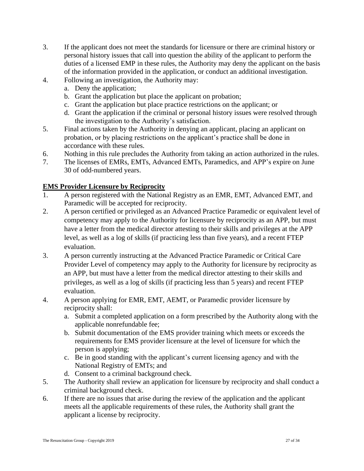- 3. If the applicant does not meet the standards for licensure or there are criminal history or personal history issues that call into question the ability of the applicant to perform the duties of a licensed EMP in these rules, the Authority may deny the applicant on the basis of the information provided in the application, or conduct an additional investigation.
- 4. Following an investigation, the Authority may:
	- a. Deny the application;
	- b. Grant the application but place the applicant on probation;
	- c. Grant the application but place practice restrictions on the applicant; or
	- d. Grant the application if the criminal or personal history issues were resolved through the investigation to the Authority's satisfaction.
- 5. Final actions taken by the Authority in denying an applicant, placing an applicant on probation, or by placing restrictions on the applicant's practice shall be done in accordance with these rules.
- 6. Nothing in this rule precludes the Authority from taking an action authorized in the rules.
- 7. The licenses of EMRs, EMTs, Advanced EMTs, Paramedics, and APP's expire on June 30 of odd-numbered years.

## **EMS Provider Licensure by Reciprocity**

- 1. A person registered with the National Registry as an EMR, EMT, Advanced EMT, and Paramedic will be accepted for reciprocity.
- 2. A person certified or privileged as an Advanced Practice Paramedic or equivalent level of competency may apply to the Authority for licensure by reciprocity as an APP, but must have a letter from the medical director attesting to their skills and privileges at the APP level, as well as a log of skills (if practicing less than five years), and a recent FTEP evaluation.
- 3. A person currently instructing at the Advanced Practice Paramedic or Critical Care Provider Level of competency may apply to the Authority for licensure by reciprocity as an APP, but must have a letter from the medical director attesting to their skills and privileges, as well as a log of skills (if practicing less than 5 years) and recent FTEP evaluation.
- 4. A person applying for EMR, EMT, AEMT, or Paramedic provider licensure by reciprocity shall:
	- a. Submit a completed application on a form prescribed by the Authority along with the applicable nonrefundable fee;
	- b. Submit documentation of the EMS provider training which meets or exceeds the requirements for EMS provider licensure at the level of licensure for which the person is applying;
	- c. Be in good standing with the applicant's current licensing agency and with the National Registry of EMTs; and
	- d. Consent to a criminal background check.
- 5. The Authority shall review an application for licensure by reciprocity and shall conduct a criminal background check.
- 6. If there are no issues that arise during the review of the application and the applicant meets all the applicable requirements of these rules, the Authority shall grant the applicant a license by reciprocity.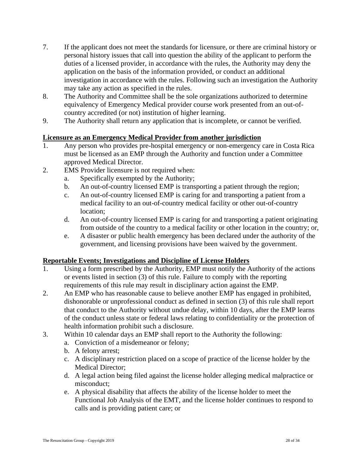- 7. If the applicant does not meet the standards for licensure, or there are criminal history or personal history issues that call into question the ability of the applicant to perform the duties of a licensed provider, in accordance with the rules, the Authority may deny the application on the basis of the information provided, or conduct an additional investigation in accordance with the rules. Following such an investigation the Authority may take any action as specified in the rules.
- 8. The Authority and Committee shall be the sole organizations authorized to determine equivalency of Emergency Medical provider course work presented from an out-ofcountry accredited (or not) institution of higher learning.
- 9. The Authority shall return any application that is incomplete, or cannot be verified.

## **Licensure as an Emergency Medical Provider from another jurisdiction**

- 1. Any person who provides pre-hospital emergency or non-emergency care in Costa Rica must be licensed as an EMP through the Authority and function under a Committee approved Medical Director.
- 2. EMS Provider licensure is not required when:
	- a. Specifically exempted by the Authority;
	- b. An out-of-country licensed EMP is transporting a patient through the region;
	- c. An out-of-country licensed EMP is caring for and transporting a patient from a medical facility to an out-of-country medical facility or other out-of-country location;
	- d. An out-of-country licensed EMP is caring for and transporting a patient originating from outside of the country to a medical facility or other location in the country; or,
	- e. A disaster or public health emergency has been declared under the authority of the government, and licensing provisions have been waived by the government.

## **Reportable Events; Investigations and Discipline of License Holders**

- 1. Using a form prescribed by the Authority, EMP must notify the Authority of the actions or events listed in section (3) of this rule. Failure to comply with the reporting requirements of this rule may result in disciplinary action against the EMP.
- 2. An EMP who has reasonable cause to believe another EMP has engaged in prohibited, dishonorable or unprofessional conduct as defined in section (3) of this rule shall report that conduct to the Authority without undue delay, within 10 days, after the EMP learns of the conduct unless state or federal laws relating to confidentiality or the protection of health information prohibit such a disclosure.
- 3. Within 10 calendar days an EMP shall report to the Authority the following:
	- a. Conviction of a misdemeanor or felony;
	- b. A felony arrest;
	- c. A disciplinary restriction placed on a scope of practice of the license holder by the Medical Director;
	- d. A legal action being filed against the license holder alleging medical malpractice or misconduct;
	- e. A physical disability that affects the ability of the license holder to meet the Functional Job Analysis of the EMT, and the license holder continues to respond to calls and is providing patient care; or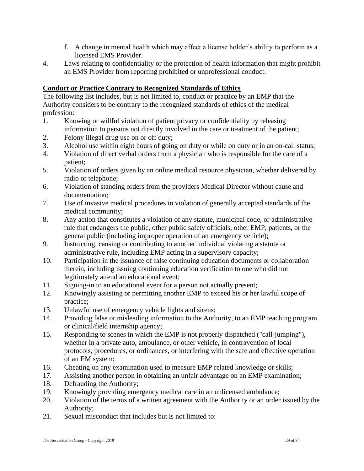- f. A change in mental health which may affect a license holder's ability to perform as a licensed EMS Provider.
- 4. Laws relating to confidentiality or the protection of health information that might prohibit an EMS Provider from reporting prohibited or unprofessional conduct.

## **Conduct or Practice Contrary to Recognized Standards of Ethics**

The following list includes, but is not limited to, conduct or practice by an EMP that the Authority considers to be contrary to the recognized standards of ethics of the medical profession:

- 1. Knowing or willful violation of patient privacy or confidentiality by releasing information to persons not directly involved in the care or treatment of the patient;
- 2. Felony illegal drug use on or off duty;
- 3. Alcohol use within eight hours of going on duty or while on duty or in an on-call status;
- 4. Violation of direct verbal orders from a physician who is responsible for the care of a patient;
- 5. Violation of orders given by an online medical resource physician, whether delivered by radio or telephone;
- 6. Violation of standing orders from the providers Medical Director without cause and documentation;
- 7. Use of invasive medical procedures in violation of generally accepted standards of the medical community;
- 8. Any action that constitutes a violation of any statute, municipal code, or administrative rule that endangers the public, other public safety officials, other EMP, patients, or the general public (including improper operation of an emergency vehicle);
- 9. Instructing, causing or contributing to another individual violating a statute or administrative rule, including EMP acting in a supervisory capacity;
- 10. Participation in the issuance of false continuing education documents or collaboration therein, including issuing continuing education verification to one who did not legitimately attend an educational event;
- 11. Signing-in to an educational event for a person not actually present;
- 12. Knowingly assisting or permitting another EMP to exceed his or her lawful scope of practice;
- 13. Unlawful use of emergency vehicle lights and sirens;
- 14. Providing false or misleading information to the Authority, to an EMP teaching program or clinical/field internship agency;
- 15. Responding to scenes in which the EMP is not properly dispatched ("call-jumping"), whether in a private auto, ambulance, or other vehicle, in contravention of local protocols, procedures, or ordinances, or interfering with the safe and effective operation of an EM system;
- 16. Cheating on any examination used to measure EMP related knowledge or skills;
- 17. Assisting another person in obtaining an unfair advantage on an EMP examination;
- 18. Defrauding the Authority;
- 19. Knowingly providing emergency medical care in an unlicensed ambulance;
- 20. Violation of the terms of a written agreement with the Authority or an order issued by the Authority;
- 21. Sexual misconduct that includes but is not limited to: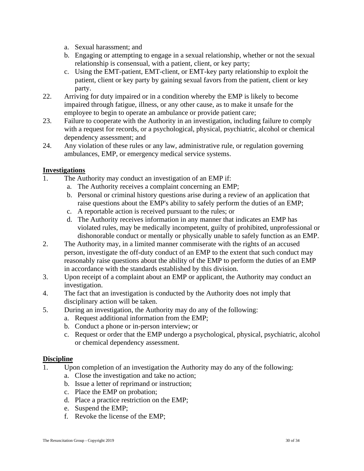- a. Sexual harassment; and
- b. Engaging or attempting to engage in a sexual relationship, whether or not the sexual relationship is consensual, with a patient, client, or key party;
- c. Using the EMT-patient, EMT-client, or EMT-key party relationship to exploit the patient, client or key party by gaining sexual favors from the patient, client or key party.
- 22. Arriving for duty impaired or in a condition whereby the EMP is likely to become impaired through fatigue, illness, or any other cause, as to make it unsafe for the employee to begin to operate an ambulance or provide patient care;
- 23. Failure to cooperate with the Authority in an investigation, including failure to comply with a request for records, or a psychological, physical, psychiatric, alcohol or chemical dependency assessment; and
- 24. Any violation of these rules or any law, administrative rule, or regulation governing ambulances, EMP, or emergency medical service systems.

## **Investigations**

- 1. The Authority may conduct an investigation of an EMP if:
	- a. The Authority receives a complaint concerning an EMP;
	- b. Personal or criminal history questions arise during a review of an application that raise questions about the EMP's ability to safely perform the duties of an EMP;
	- c. A reportable action is received pursuant to the rules; or
	- d. The Authority receives information in any manner that indicates an EMP has violated rules, may be medically incompetent, guilty of prohibited, unprofessional or dishonorable conduct or mentally or physically unable to safely function as an EMP.
- 2. The Authority may, in a limited manner commiserate with the rights of an accused person, investigate the off-duty conduct of an EMP to the extent that such conduct may reasonably raise questions about the ability of the EMP to perform the duties of an EMP in accordance with the standards established by this division.
- 3. Upon receipt of a complaint about an EMP or applicant, the Authority may conduct an investigation.
- 4. The fact that an investigation is conducted by the Authority does not imply that disciplinary action will be taken.
- 5. During an investigation, the Authority may do any of the following:
	- a. Request additional information from the EMP;
	- b. Conduct a phone or in-person interview; or
	- c. Request or order that the EMP undergo a psychological, physical, psychiatric, alcohol or chemical dependency assessment.

#### **Discipline**

- 1. Upon completion of an investigation the Authority may do any of the following:
	- a. Close the investigation and take no action;
	- b. Issue a letter of reprimand or instruction;
	- c. Place the EMP on probation;
	- d. Place a practice restriction on the EMP;
	- e. Suspend the EMP;
	- f. Revoke the license of the EMP;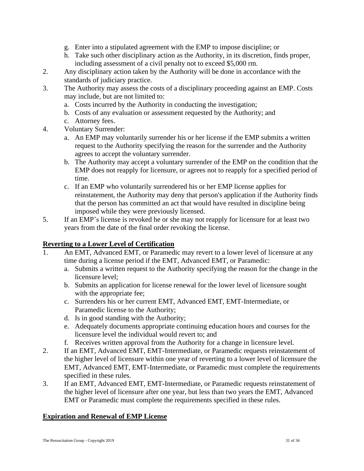- g. Enter into a stipulated agreement with the EMP to impose discipline; or
- h. Take such other disciplinary action as the Authority, in its discretion, finds proper, including assessment of a civil penalty not to exceed \$5,000 rm.
- 2. Any disciplinary action taken by the Authority will be done in accordance with the standards of judiciary practice.
- 3. The Authority may assess the costs of a disciplinary proceeding against an EMP. Costs may include, but are not limited to:
	- a. Costs incurred by the Authority in conducting the investigation;
	- b. Costs of any evaluation or assessment requested by the Authority; and
	- c. Attorney fees.
- 4. Voluntary Surrender:
	- a. An EMP may voluntarily surrender his or her license if the EMP submits a written request to the Authority specifying the reason for the surrender and the Authority agrees to accept the voluntary surrender.
	- b. The Authority may accept a voluntary surrender of the EMP on the condition that the EMP does not reapply for licensure, or agrees not to reapply for a specified period of time.
	- c. If an EMP who voluntarily surrendered his or her EMP license applies for reinstatement, the Authority may deny that person's application if the Authority finds that the person has committed an act that would have resulted in discipline being imposed while they were previously licensed.
- 5. If an EMP's license is revoked he or she may not reapply for licensure for at least two years from the date of the final order revoking the license.

## **Reverting to a Lower Level of Certification**

- 1. An EMT, Advanced EMT, or Paramedic may revert to a lower level of licensure at any time during a license period if the EMT, Advanced EMT, or Paramedic:
	- a. Submits a written request to the Authority specifying the reason for the change in the licensure level;
	- b. Submits an application for license renewal for the lower level of licensure sought with the appropriate fee;
	- c. Surrenders his or her current EMT, Advanced EMT, EMT-Intermediate, or Paramedic license to the Authority;
	- d. Is in good standing with the Authority;
	- e. Adequately documents appropriate continuing education hours and courses for the licensure level the individual would revert to; and
	- f. Receives written approval from the Authority for a change in licensure level.
- 2. If an EMT, Advanced EMT, EMT-Intermediate, or Paramedic requests reinstatement of the higher level of licensure within one year of reverting to a lower level of licensure the EMT, Advanced EMT, EMT-Intermediate, or Paramedic must complete the requirements specified in these rules.
- 3. If an EMT, Advanced EMT, EMT-Intermediate, or Paramedic requests reinstatement of the higher level of licensure after one year, but less than two years the EMT, Advanced EMT or Paramedic must complete the requirements specified in these rules.

## **Expiration and Renewal of EMP License**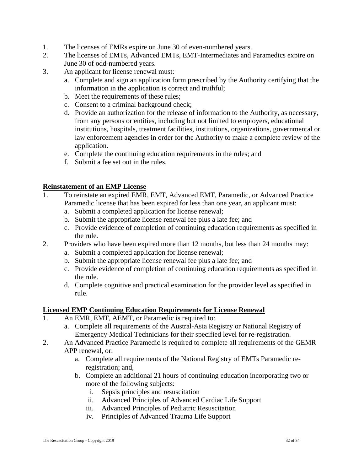- 1. The licenses of EMRs expire on June 30 of even-numbered years.
- 2. The licenses of EMTs, Advanced EMTs, EMT-Intermediates and Paramedics expire on June 30 of odd-numbered years.
- 3. An applicant for license renewal must:
	- a. Complete and sign an application form prescribed by the Authority certifying that the information in the application is correct and truthful;
	- b. Meet the requirements of these rules;
	- c. Consent to a criminal background check;
	- d. Provide an authorization for the release of information to the Authority, as necessary, from any persons or entities, including but not limited to employers, educational institutions, hospitals, treatment facilities, institutions, organizations, governmental or law enforcement agencies in order for the Authority to make a complete review of the application.
	- e. Complete the continuing education requirements in the rules; and
	- f. Submit a fee set out in the rules.

#### **Reinstatement of an EMP License**

- 1. To reinstate an expired EMR, EMT, Advanced EMT, Paramedic, or Advanced Practice Paramedic license that has been expired for less than one year, an applicant must:
	- a. Submit a completed application for license renewal;
	- b. Submit the appropriate license renewal fee plus a late fee; and
	- c. Provide evidence of completion of continuing education requirements as specified in the rule.
- 2. Providers who have been expired more than 12 months, but less than 24 months may:
	- a. Submit a completed application for license renewal;
	- b. Submit the appropriate license renewal fee plus a late fee; and
	- c. Provide evidence of completion of continuing education requirements as specified in the rule.
	- d. Complete cognitive and practical examination for the provider level as specified in rule.

#### **Licensed EMP Continuing Education Requirements for License Renewal**

- 1. An EMR, EMT, AEMT, or Paramedic is required to:
	- a. Complete all requirements of the Austral-Asia Registry or National Registry of Emergency Medical Technicians for their specified level for re-registration.
- 2. An Advanced Practice Paramedic is required to complete all requirements of the GEMR APP renewal, or:
	- a. Complete all requirements of the National Registry of EMTs Paramedic reregistration; and,
	- b. Complete an additional 21 hours of continuing education incorporating two or more of the following subjects:
		- i. Sepsis principles and resuscitation
		- ii. Advanced Principles of Advanced Cardiac Life Support
		- iii. Advanced Principles of Pediatric Resuscitation
		- iv. Principles of Advanced Trauma Life Support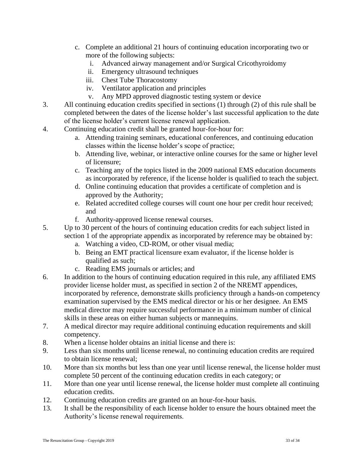- c. Complete an additional 21 hours of continuing education incorporating two or more of the following subjects:
	- i. Advanced airway management and/or Surgical Cricothyroidomy
	- ii. Emergency ultrasound techniques
	- iii. Chest Tube Thoracostomy
	- iv. Ventilator application and principles
	- v. Any MPD approved diagnostic testing system or device
- 3. All continuing education credits specified in sections (1) through (2) of this rule shall be completed between the dates of the license holder's last successful application to the date of the license holder's current license renewal application.
- 4. Continuing education credit shall be granted hour-for-hour for:
	- a. Attending training seminars, educational conferences, and continuing education classes within the license holder's scope of practice;
	- b. Attending live, webinar, or interactive online courses for the same or higher level of licensure;
	- c. Teaching any of the topics listed in the 2009 national EMS education documents as incorporated by reference, if the license holder is qualified to teach the subject.
	- d. Online continuing education that provides a certificate of completion and is approved by the Authority;
	- e. Related accredited college courses will count one hour per credit hour received; and
	- f. Authority-approved license renewal courses.
- 5. Up to 30 percent of the hours of continuing education credits for each subject listed in section 1 of the appropriate appendix as incorporated by reference may be obtained by:
	- a. Watching a video, CD-ROM, or other visual media;
	- b. Being an EMT practical licensure exam evaluator, if the license holder is qualified as such;
	- c. Reading EMS journals or articles; and
- 6. In addition to the hours of continuing education required in this rule, any affiliated EMS provider license holder must, as specified in section 2 of the NREMT appendices, incorporated by reference, demonstrate skills proficiency through a hands-on competency examination supervised by the EMS medical director or his or her designee. An EMS medical director may require successful performance in a minimum number of clinical skills in these areas on either human subjects or mannequins.
- 7. A medical director may require additional continuing education requirements and skill competency.
- 8. When a license holder obtains an initial license and there is:
- 9. Less than six months until license renewal, no continuing education credits are required to obtain license renewal;
- 10. More than six months but less than one year until license renewal, the license holder must complete 50 percent of the continuing education credits in each category; or
- 11. More than one year until license renewal, the license holder must complete all continuing education credits.
- 12. Continuing education credits are granted on an hour-for-hour basis.
- 13. It shall be the responsibility of each license holder to ensure the hours obtained meet the Authority's license renewal requirements.